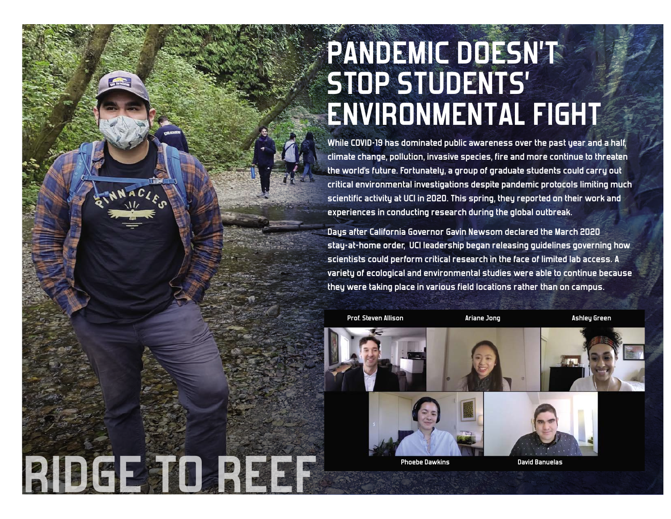## **PANDEMIC DOESN'T STOP STUDENTS' ENVIRONMENTAL FIGHT**

**While COVID-19 has dominated public awareness over the past year and a half, climate change, pollution, invasive species, fire and more continue to threaten the world's future. Fortunately, a group of graduate students could carry out critical environmental investigations despite pandemic protocols limiting much scientific activity at UCI in 2020. This spring, they reported on their work and experiences in conducting research during the global outbreak.**

**Days after California Governor Gavin Newsom declared the March 2020 stay-at-home order, UCI leadership began releasing guidelines governing how scientists could perform critical research in the face of limited lab access. A variety of ecological and environmental studies were able to continue because they were taking place in various field locations rather than on campus.** 



 **RIDGE TO REEF**

**Ariane Jong Ashley Green**



**Phoebe Dawkins David Banuelas**